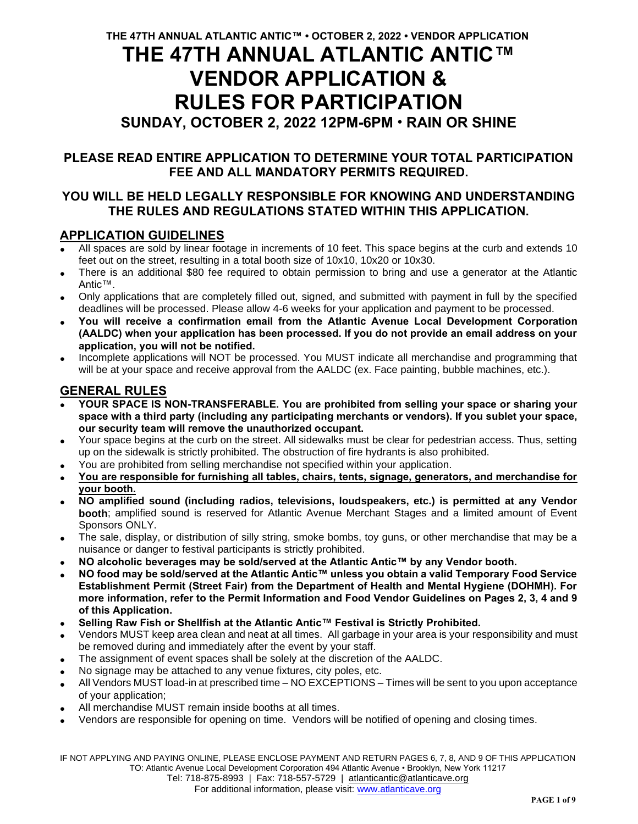# **THE 47TH ANNUAL ATLANTIC ANTIC™ VENDOR APPLICATION & RULES FOR PARTICIPATION**

# **SUNDAY, OCTOBER 2, 2022 12PM-6PM** • **RAIN OR SHINE**

# **PLEASE READ ENTIRE APPLICATION TO DETERMINE YOUR TOTAL PARTICIPATION FEE AND ALL MANDATORY PERMITS REQUIRED.**

# **YOU WILL BE HELD LEGALLY RESPONSIBLE FOR KNOWING AND UNDERSTANDING THE RULES AND REGULATIONS STATED WITHIN THIS APPLICATION.**

# **APPLICATION GUIDELINES**

- All spaces are sold by linear footage in increments of 10 feet. This space begins at the curb and extends 10 feet out on the street, resulting in a total booth size of 10x10, 10x20 or 10x30.
- There is an additional \$80 fee required to obtain permission to bring and use a generator at the Atlantic Antic™.
- Only applications that are completely filled out, signed, and submitted with payment in full by the specified deadlines will be processed. Please allow 4-6 weeks for your application and payment to be processed.
- **You will receive a confirmation email from the Atlantic Avenue Local Development Corporation (AALDC) when your application has been processed. If you do not provide an email address on your application, you will not be notified.**
- Incomplete applications will NOT be processed. You MUST indicate all merchandise and programming that will be at your space and receive approval from the AALDC (ex. Face painting, bubble machines, etc.).

# **GENERAL RULES**

- **YOUR SPACE IS NON-TRANSFERABLE. You are prohibited from selling your space or sharing your space with a third party (including any participating merchants or vendors). If you sublet your space, our security team will remove the unauthorized occupant.**
- Your space begins at the curb on the street. All sidewalks must be clear for pedestrian access. Thus, setting up on the sidewalk is strictly prohibited. The obstruction of fire hydrants is also prohibited.
- You are prohibited from selling merchandise not specified within your application.
- **You are responsible for furnishing all tables, chairs, tents, signage, generators, and merchandise for your booth.**
- **NO amplified sound (including radios, televisions, loudspeakers, etc.) is permitted at any Vendor booth**; amplified sound is reserved for Atlantic Avenue Merchant Stages and a limited amount of Event Sponsors ONLY.
- The sale, display, or distribution of silly string, smoke bombs, toy guns, or other merchandise that may be a nuisance or danger to festival participants is strictly prohibited.
- **NO alcoholic beverages may be sold/served at the Atlantic Antic™ by any Vendor booth.**
- **NO food may be sold/served at the Atlantic Antic™ unless you obtain a valid Temporary Food Service Establishment Permit (Street Fair) from the Department of Health and Mental Hygiene (DOHMH). For more information, refer to the Permit Information and Food Vendor Guidelines on Pages 2, 3, 4 and 9 of this Application.**
- **Selling Raw Fish or Shellfish at the Atlantic Antic™ Festival is Strictly Prohibited.**
- Vendors MUST keep area clean and neat at all times. All garbage in your area is your responsibility and must be removed during and immediately after the event by your staff.
- The assignment of event spaces shall be solely at the discretion of the AALDC.
- No signage may be attached to any venue fixtures, city poles, etc.
- All Vendors MUST load-in at prescribed time NO EXCEPTIONS Times will be sent to you upon acceptance of your application;
- All merchandise MUST remain inside booths at all times.
- Vendors are responsible for opening on time. Vendors will be notified of opening and closing times.

IF NOT APPLYING AND PAYING ONLINE, PLEASE ENCLOSE PAYMENT AND RETURN PAGES 6, 7, 8, AND 9 OF THIS APPLICATION TO: Atlantic Avenue Local Development Corporation 494 Atlantic Avenue • Brooklyn, New York 11217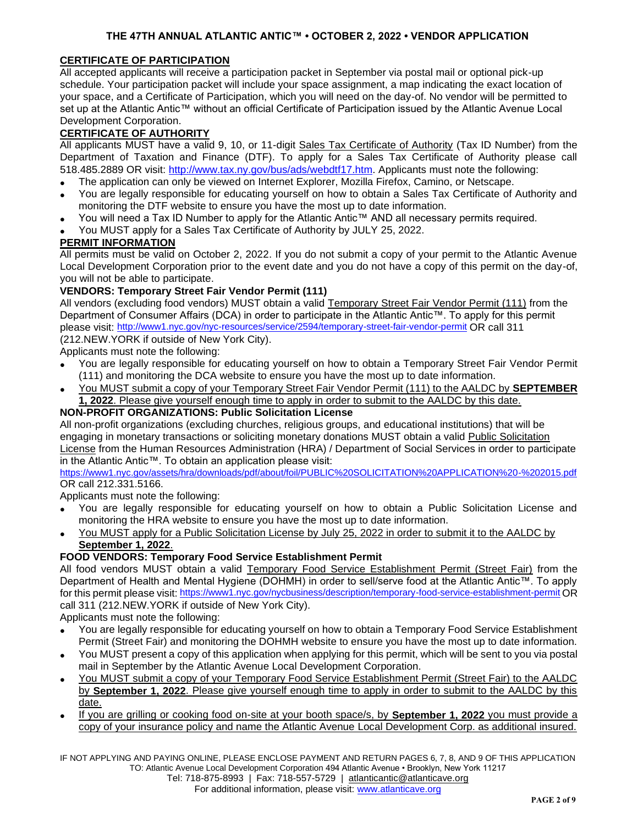## **THE 47TH ANNUAL ATLANTIC ANTIC™ • OCTOBER 2, 2022 • VENDOR APPLICATION**

## **CERTIFICATE OF PARTICIPATION**

All accepted applicants will receive a participation packet in September via postal mail or optional pick-up schedule. Your participation packet will include your space assignment, a map indicating the exact location of your space, and a Certificate of Participation, which you will need on the day-of. No vendor will be permitted to set up at the Atlantic Antic™ without an official Certificate of Participation issued by the Atlantic Avenue Local Development Corporation.

## **CERTIFICATE OF AUTHORITY**

All applicants MUST have a valid 9, 10, or 11-digit Sales Tax Certificate of Authority (Tax ID Number) from the Department of Taxation and Finance (DTF). To apply for a Sales Tax Certificate of Authority please call 518.485.2889 OR visit: http://www.tax.ny.gov/bus/ads/webdtf17.htm. Applicants must note the following:

- The application can only be viewed on Internet Explorer, Mozilla Firefox, Camino, or Netscape.
- You are legally responsible for educating yourself on how to obtain a Sales Tax Certificate of Authority and monitoring the DTF website to ensure you have the most up to date information.
- You will need a Tax ID Number to apply for the Atlantic Antic™ AND all necessary permits required.
- You MUST apply for a Sales Tax Certificate of Authority by JULY 25, 2022.

## **PERMIT INFORMATION**

All permits must be valid on October 2, 2022. If you do not submit a copy of your permit to the Atlantic Avenue Local Development Corporation prior to the event date and you do not have a copy of this permit on the day-of, you will not be able to participate.

## **VENDORS: Temporary Street Fair Vendor Permit (111)**

All vendors (excluding food vendors) MUST obtain a valid Temporary Street Fair Vendor Permit (111) from the Department of Consumer Affairs (DCA) in order to participate in the Atlantic Antic™. To apply for this permit please visit: http://www1.nyc.gov/nyc-resources/service/2594/temporary-street-fair-vendor-permit OR call 311 (212.NEW.YORK if outside of New York City).

Applicants must note the following:

- You are legally responsible for educating yourself on how to obtain a Temporary Street Fair Vendor Permit (111) and monitoring the DCA website to ensure you have the most up to date information.
- You MUST submit a copy of your Temporary Street Fair Vendor Permit (111) to the AALDC by **SEPTEMBER 1, 2022**. Please give yourself enough time to apply in order to submit to the AALDC by this date.

## **NON-PROFIT ORGANIZATIONS: Public Solicitation License**

All non-profit organizations (excluding churches, religious groups, and educational institutions) that will be engaging in monetary transactions or soliciting monetary donations MUST obtain a valid Public Solicitation License from the Human Resources Administration (HRA) / Department of Social Services in order to participate in the Atlantic Antic™. To obtain an application please visit:

https://www1.nyc.gov/assets/hra/downloads/pdf/about/foil/PUBLIC%20SOLICITATION%20APPLICATION%20-%202015.pdf OR call 212.331.5166.

Applicants must note the following:

- You are legally responsible for educating yourself on how to obtain a Public Solicitation License and monitoring the HRA website to ensure you have the most up to date information.
- You MUST apply for a Public Solicitation License by July 25, 2022 in order to submit it to the AALDC by **September 1, 2022**.

## **FOOD VENDORS: Temporary Food Service Establishment Permit**

All food vendors MUST obtain a valid Temporary Food Service Establishment Permit (Street Fair) from the Department of Health and Mental Hygiene (DOHMH) in order to sell/serve food at the Atlantic Antic™. To apply for this permit please visit: https://www1.nyc.gov/nycbusiness/description/temporary-food-service-establishment-permit OR call 311 (212.NEW.YORK if outside of New York City).

Applicants must note the following:

- You are legally responsible for educating yourself on how to obtain a Temporary Food Service Establishment Permit (Street Fair) and monitoring the DOHMH website to ensure you have the most up to date information.
- You MUST present a copy of this application when applying for this permit, which will be sent to you via postal mail in September by the Atlantic Avenue Local Development Corporation.
- You MUST submit a copy of your Temporary Food Service Establishment Permit (Street Fair) to the AALDC by **September 1, 2022**. Please give yourself enough time to apply in order to submit to the AALDC by this date.
- If you are grilling or cooking food on-site at your booth space/s, by **September 1, 2022** you must provide a copy of your insurance policy and name the Atlantic Avenue Local Development Corp. as additional insured.

IF NOT APPLYING AND PAYING ONLINE, PLEASE ENCLOSE PAYMENT AND RETURN PAGES 6, 7, 8, AND 9 OF THIS APPLICATION TO: Atlantic Avenue Local Development Corporation 494 Atlantic Avenue • Brooklyn, New York 11217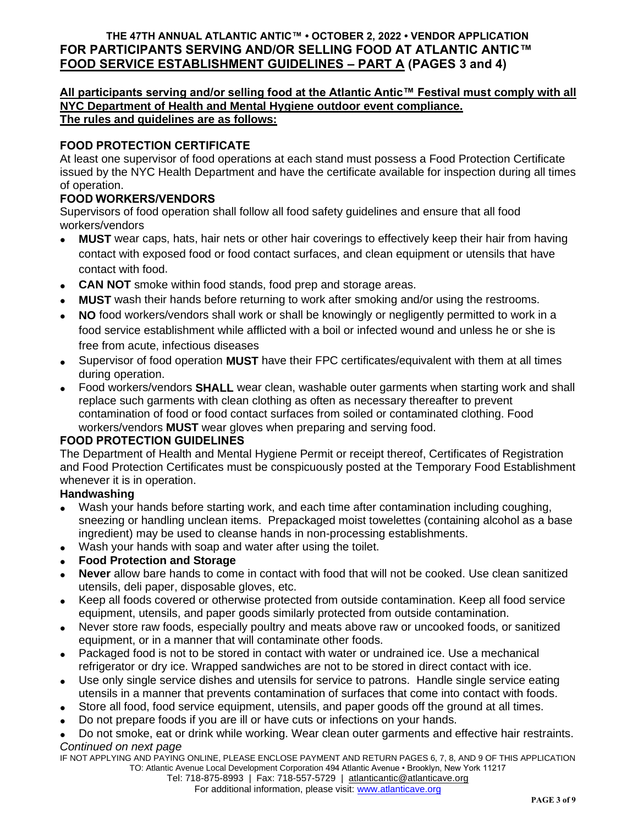# **THE 47TH ANNUAL ATLANTIC ANTIC™ • OCTOBER 2, 2022 • VENDOR APPLICATION FOR PARTICIPANTS SERVING AND/OR SELLING FOOD AT ATLANTIC ANTIC™ FOOD SERVICE ESTABLISHMENT GUIDELINES – PART A (PAGES 3 and 4)**

## **All participants serving and/or selling food at the Atlantic Antic™ Festival must comply with all NYC Department of Health and Mental Hygiene outdoor event compliance. The rules and guidelines are as follows:**

# **FOOD PROTECTION CERTIFICATE**

At least one supervisor of food operations at each stand must possess a Food Protection Certificate issued by the NYC Health Department and have the certificate available for inspection during all times of operation.

## **FOOD WORKERS/VENDORS**

Supervisors of food operation shall follow all food safety guidelines and ensure that all food workers/vendors

- **MUST** wear caps, hats, hair nets or other hair coverings to effectively keep their hair from having contact with exposed food or food contact surfaces, and clean equipment or utensils that have contact with food.
- **CAN NOT** smoke within food stands, food prep and storage areas.
- **MUST** wash their hands before returning to work after smoking and/or using the restrooms.
- **NO** food workers/vendors shall work or shall be knowingly or negligently permitted to work in a food service establishment while afflicted with a boil or infected wound and unless he or she is free from acute, infectious diseases
- Supervisor of food operation **MUST** have their FPC certificates/equivalent with them at all times during operation.
- Food workers/vendors **SHALL** wear clean, washable outer garments when starting work and shall replace such garments with clean clothing as often as necessary thereafter to prevent contamination of food or food contact surfaces from soiled or contaminated clothing. Food workers/vendors **MUST** wear gloves when preparing and serving food.

## **FOOD PROTECTION GUIDELINES**

The Department of Health and Mental Hygiene Permit or receipt thereof, Certificates of Registration and Food Protection Certificates must be conspicuously posted at the Temporary Food Establishment whenever it is in operation.

## **Handwashing**

- Wash your hands before starting work, and each time after contamination including coughing, sneezing or handling unclean items. Prepackaged moist towelettes (containing alcohol as a base ingredient) may be used to cleanse hands in non-processing establishments.
- Wash your hands with soap and water after using the toilet.
- **Food Protection and Storage**
- **Never** allow bare hands to come in contact with food that will not be cooked. Use clean sanitized utensils, deli paper, disposable gloves, etc.
- Keep all foods covered or otherwise protected from outside contamination. Keep all food service equipment, utensils, and paper goods similarly protected from outside contamination.
- Never store raw foods, especially poultry and meats above raw or uncooked foods, or sanitized equipment, or in a manner that will contaminate other foods.
- Packaged food is not to be stored in contact with water or undrained ice. Use a mechanical refrigerator or dry ice. Wrapped sandwiches are not to be stored in direct contact with ice.
- Use only single service dishes and utensils for service to patrons. Handle single service eating utensils in a manner that prevents contamination of surfaces that come into contact with foods.
- Store all food, food service equipment, utensils, and paper goods off the ground at all times.
- Do not prepare foods if you are ill or have cuts or infections on your hands.

• Do not smoke, eat or drink while working. Wear clean outer garments and effective hair restraints. *Continued on next page*

IF NOT APPLYING AND PAYING ONLINE, PLEASE ENCLOSE PAYMENT AND RETURN PAGES 6, 7, 8, AND 9 OF THIS APPLICATION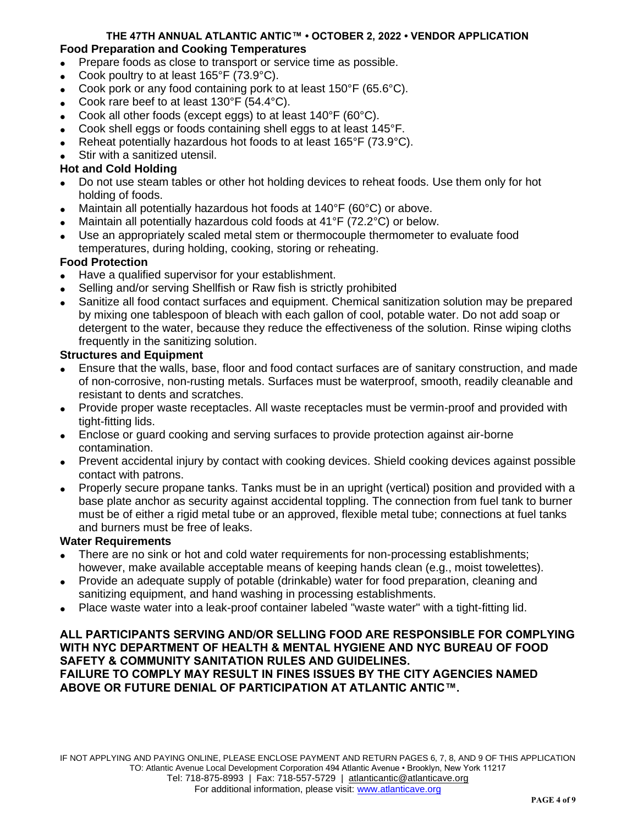## **THE 47TH ANNUAL ATLANTIC ANTIC™ • OCTOBER 2, 2022 • VENDOR APPLICATION Food Preparation and Cooking Temperatures**

- Prepare foods as close to transport or service time as possible.
- Cook poultry to at least 165°F (73.9°C).
- Cook pork or any food containing pork to at least 150°F (65.6°C).
- Cook rare beef to at least 130°F (54.4°C).
- Cook all other foods (except eggs) to at least 140°F (60°C).
- Cook shell eggs or foods containing shell eggs to at least 145°F.
- Reheat potentially hazardous hot foods to at least 165°F (73.9°C).
- Stir with a sanitized utensil.

## **Hot and Cold Holding**

- Do not use steam tables or other hot holding devices to reheat foods. Use them only for hot holding of foods.
- Maintain all potentially hazardous hot foods at 140°F (60°C) or above.
- Maintain all potentially hazardous cold foods at 41°F (72.2°C) or below.
- Use an appropriately scaled metal stem or thermocouple thermometer to evaluate food temperatures, during holding, cooking, storing or reheating.

# **Food Protection**

- Have a qualified supervisor for your establishment.
- Selling and/or serving Shellfish or Raw fish is strictly prohibited
- Sanitize all food contact surfaces and equipment. Chemical sanitization solution may be prepared by mixing one tablespoon of bleach with each gallon of cool, potable water. Do not add soap or detergent to the water, because they reduce the effectiveness of the solution. Rinse wiping cloths frequently in the sanitizing solution.

## **Structures and Equipment**

- Ensure that the walls, base, floor and food contact surfaces are of sanitary construction, and made of non-corrosive, non-rusting metals. Surfaces must be waterproof, smooth, readily cleanable and resistant to dents and scratches.
- Provide proper waste receptacles. All waste receptacles must be vermin-proof and provided with tight-fitting lids.
- Enclose or guard cooking and serving surfaces to provide protection against air-borne contamination.
- Prevent accidental injury by contact with cooking devices. Shield cooking devices against possible contact with patrons.
- Properly secure propane tanks. Tanks must be in an upright (vertical) position and provided with a base plate anchor as security against accidental toppling. The connection from fuel tank to burner must be of either a rigid metal tube or an approved, flexible metal tube; connections at fuel tanks and burners must be free of leaks.

## **Water Requirements**

- There are no sink or hot and cold water requirements for non-processing establishments; however, make available acceptable means of keeping hands clean (e.g., moist towelettes).
- Provide an adequate supply of potable (drinkable) water for food preparation, cleaning and sanitizing equipment, and hand washing in processing establishments.
- Place waste water into a leak-proof container labeled "waste water" with a tight-fitting lid.

## **ALL PARTICIPANTS SERVING AND/OR SELLING FOOD ARE RESPONSIBLE FOR COMPLYING WITH NYC DEPARTMENT OF HEALTH & MENTAL HYGIENE AND NYC BUREAU OF FOOD SAFETY & COMMUNITY SANITATION RULES AND GUIDELINES.**

**FAILURE TO COMPLY MAY RESULT IN FINES ISSUES BY THE CITY AGENCIES NAMED ABOVE OR FUTURE DENIAL OF PARTICIPATION AT ATLANTIC ANTIC™.**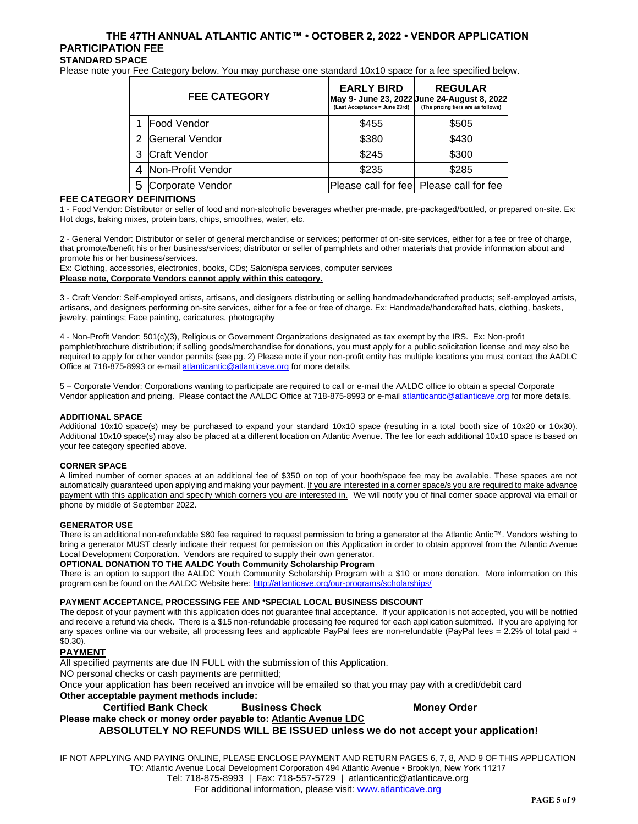#### **THE 47TH ANNUAL ATLANTIC ANTIC™ • OCTOBER 2, 2022 • VENDOR APPLICATION PARTICIPATION FEE STANDARD SPACE**

Please note your Fee Category below. You may purchase one standard 10x10 space for a fee specified below.

| <b>FEE CATEGORY</b> |                       | <b>EARLY BIRD</b><br>(Last Acceptance = June 23rd) | <b>REGULAR</b><br>May 9- June 23, 2022 June 24-August 8, 2022<br>(The pricing tiers are as follows) |
|---------------------|-----------------------|----------------------------------------------------|-----------------------------------------------------------------------------------------------------|
|                     | Food Vendor           | \$455                                              | \$505                                                                                               |
| $\mathcal{P}$       | <b>General Vendor</b> | \$380                                              | \$430                                                                                               |
| 3                   | <b>Craft Vendor</b>   | \$245                                              | \$300                                                                                               |
|                     | Non-Profit Vendor     | \$235                                              | \$285                                                                                               |
| 5                   | Corporate Vendor      |                                                    | Please call for fee   Please call for fee                                                           |

#### **FEE CATEGORY DEFINITIONS**

1 - Food Vendor: Distributor or seller of food and non-alcoholic beverages whether pre-made, pre-packaged/bottled, or prepared on-site. Ex: Hot dogs, baking mixes, protein bars, chips, smoothies, water, etc.

2 - General Vendor: Distributor or seller of general merchandise or services; performer of on-site services, either for a fee or free of charge, that promote/benefit his or her business/services; distributor or seller of pamphlets and other materials that provide information about and promote his or her business/services.

Ex: Clothing, accessories, electronics, books, CDs; Salon/spa services, computer services

## **Please note, Corporate Vendors cannot apply within this category.**

3 - Craft Vendor: Self-employed artists, artisans, and designers distributing or selling handmade/handcrafted products; self-employed artists, artisans, and designers performing on-site services, either for a fee or free of charge. Ex: Handmade/handcrafted hats, clothing, baskets, jewelry, paintings; Face painting, caricatures, photography

4 - Non-Profit Vendor: 501(c)(3), Religious or Government Organizations designated as tax exempt by the IRS. Ex: Non-profit pamphlet/brochure distribution; if selling goods/merchandise for donations, you must apply for a public solicitation license and may also be required to apply for other vendor permits (see pg. 2) Please note if your non-profit entity has multiple locations you must contact the AADLC Office at 718-875-8993 or e-mail atlanticantic@atlanticave.org for more details.

5 – Corporate Vendor: Corporations wanting to participate are required to call or e-mail the AALDC office to obtain a special Corporate Vendor application and pricing. Please contact the AALDC Office at 718-875-8993 or e-mail atlanticantic@atlanticave.org for more details.

#### **ADDITIONAL SPACE**

Additional 10x10 space(s) may be purchased to expand your standard 10x10 space (resulting in a total booth size of 10x20 or 10x30). Additional 10x10 space(s) may also be placed at a different location on Atlantic Avenue. The fee for each additional 10x10 space is based on your fee category specified above.

#### **CORNER SPACE**

A limited number of corner spaces at an additional fee of \$350 on top of your booth/space fee may be available. These spaces are not automatically guaranteed upon applying and making your payment. If you are interested in a corner space/s you are required to make advance payment with this application and specify which corners you are interested in. We will notify you of final corner space approval via email or phone by middle of September 2022.

#### **GENERATOR USE**

There is an additional non-refundable \$80 fee required to request permission to bring a generator at the Atlantic Antic™. Vendors wishing to bring a generator MUST clearly indicate their request for permission on this Application in order to obtain approval from the Atlantic Avenue Local Development Corporation. Vendors are required to supply their own generator.

#### **OPTIONAL DONATION TO THE AALDC Youth Community Scholarship Program**

There is an option to support the AALDC Youth Community Scholarship Program with a \$10 or more donation. More information on this program can be found on the AALDC Website here: http://atlanticave.org/our-programs/scholarships/

#### **PAYMENT ACCEPTANCE, PROCESSING FEE AND \*SPECIAL LOCAL BUSINESS DISCOUNT**

The deposit of your payment with this application does not guarantee final acceptance. If your application is not accepted, you will be notified and receive a refund via check. There is a \$15 non-refundable processing fee required for each application submitted. If you are applying for any spaces online via our website, all processing fees and applicable PayPal fees are non-refundable (PayPal fees = 2.2% of total paid + \$0.30).

### **PAYMENT**

All specified payments are due IN FULL with the submission of this Application.

NO personal checks or cash payments are permitted;

Once your application has been received an invoice will be emailed so that you may pay with a credit/debit card

### **Other acceptable payment methods include:**

**Certified Bank Check Business Check Money Order**

## **Please make check or money order payable to: Atlantic Avenue LDC**

**ABSOLUTELY NO REFUNDS WILL BE ISSUED unless we do not accept your application!**

IF NOT APPLYING AND PAYING ONLINE, PLEASE ENCLOSE PAYMENT AND RETURN PAGES 6, 7, 8, AND 9 OF THIS APPLICATION TO: Atlantic Avenue Local Development Corporation 494 Atlantic Avenue • Brooklyn, New York 11217

Tel: 718-875-8993 | Fax: 718-557-5729 | atlanticantic@atlanticave.org

For additional information, please visit: www.atlanticave.org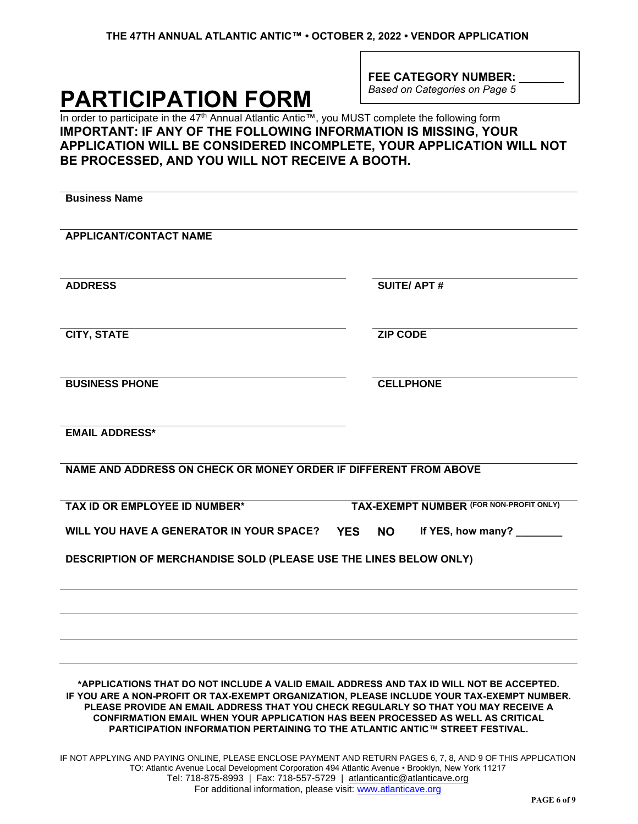# **PARTICIPATION FORM**

FEE CATEGORY NUMBER: *Based on Categories on Page 5*

In order to participate in the 47<sup>th</sup> Annual Atlantic Antic™, you MUST complete the following form **IMPORTANT: IF ANY OF THE FOLLOWING INFORMATION IS MISSING, YOUR APPLICATION WILL BE CONSIDERED INCOMPLETE, YOUR APPLICATION WILL NOT BE PROCESSED, AND YOU WILL NOT RECEIVE A BOOTH.**

| <b>Business Name</b>                                                                                                                                                                                                                                                                                                                                                                                                                                   |                                              |
|--------------------------------------------------------------------------------------------------------------------------------------------------------------------------------------------------------------------------------------------------------------------------------------------------------------------------------------------------------------------------------------------------------------------------------------------------------|----------------------------------------------|
| <b>APPLICANT/CONTACT NAME</b>                                                                                                                                                                                                                                                                                                                                                                                                                          |                                              |
| <b>ADDRESS</b>                                                                                                                                                                                                                                                                                                                                                                                                                                         | <b>SUITE/APT#</b>                            |
| <b>CITY, STATE</b>                                                                                                                                                                                                                                                                                                                                                                                                                                     | <b>ZIP CODE</b>                              |
| <b>BUSINESS PHONE</b>                                                                                                                                                                                                                                                                                                                                                                                                                                  | <b>CELLPHONE</b>                             |
| <b>EMAIL ADDRESS*</b>                                                                                                                                                                                                                                                                                                                                                                                                                                  |                                              |
| NAME AND ADDRESS ON CHECK OR MONEY ORDER IF DIFFERENT FROM ABOVE                                                                                                                                                                                                                                                                                                                                                                                       |                                              |
| TAX ID OR EMPLOYEE ID NUMBER*                                                                                                                                                                                                                                                                                                                                                                                                                          | TAX-EXEMPT NUMBER (FOR NON-PROFIT ONLY)      |
| WILL YOU HAVE A GENERATOR IN YOUR SPACE?                                                                                                                                                                                                                                                                                                                                                                                                               | If YES, how many?<br><b>YES</b><br><b>NO</b> |
| <b>DESCRIPTION OF MERCHANDISE SOLD (PLEASE USE THE LINES BELOW ONLY)</b>                                                                                                                                                                                                                                                                                                                                                                               |                                              |
|                                                                                                                                                                                                                                                                                                                                                                                                                                                        |                                              |
|                                                                                                                                                                                                                                                                                                                                                                                                                                                        |                                              |
| *APPLICATIONS THAT DO NOT INCLUDE A VALID EMAIL ADDRESS AND TAX ID WILL NOT BE ACCEPTED.<br>IF YOU ARE A NON-PROFIT OR TAX-EXEMPT ORGANIZATION, PLEASE INCLUDE YOUR TAX-EXEMPT NUMBER.<br>PLEASE PROVIDE AN EMAIL ADDRESS THAT YOU CHECK REGULARLY SO THAT YOU MAY RECEIVE A<br><b>CONFIRMATION EMAIL WHEN YOUR APPLICATION HAS BEEN PROCESSED AS WELL AS CRITICAL</b><br>PARTICIPATION INFORMATION PERTAINING TO THE ATLANTIC ANTIC™ STREET FESTIVAL. |                                              |
| IF NOT APPLYING AND PAYING ONLINE, PLEASE ENCLOSE PAYMENT AND RETURN PAGES 6, 7, 8, AND 9 OF THIS APPLICATION<br>TO: Atlantic Avenue Local Development Corporation 494 Atlantic Avenue • Brooklyn, New York 11217                                                                                                                                                                                                                                      |                                              |

Tel: 718-875-8993 | Fax: 718-557-5729 | atlanticantic@atlanticave.org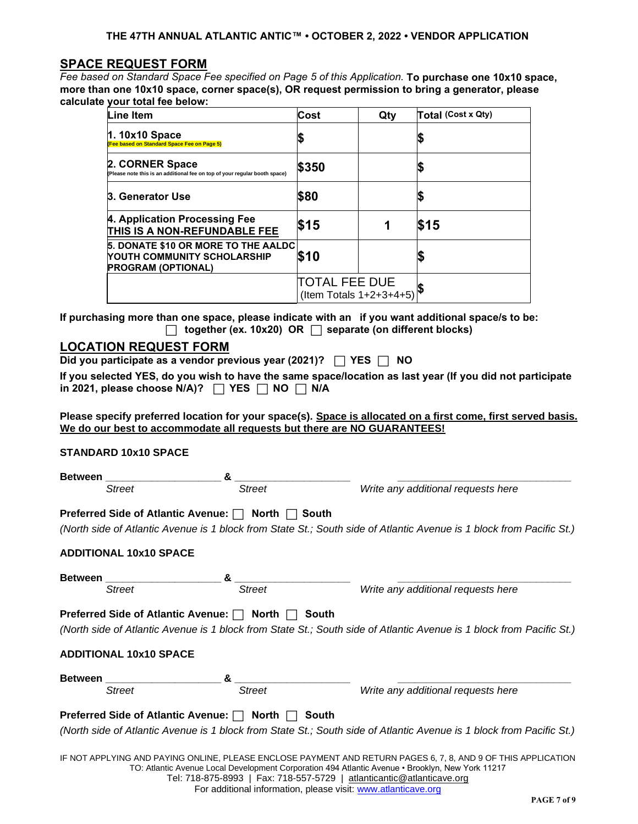## **SPACE REQUEST FORM**

*Fee based on Standard Space Fee specified on Page 5 of this Application.* **To purchase one 10x10 space, more than one 10x10 space, corner space(s), OR request permission to bring a generator, please calculate your total fee below:**

| Line Item                                                                                              | Cost                                        | Qty | Total (Cost x Qty) |
|--------------------------------------------------------------------------------------------------------|---------------------------------------------|-----|--------------------|
| $1.10x10$ Space<br>(Fee based on Standard Space Fee on Page 5)                                         |                                             |     |                    |
| 2. CORNER Space<br>(Please note this is an additional fee on top of your regular booth space)          | \$350                                       |     |                    |
| 3. Generator Use                                                                                       | \$80                                        |     |                    |
| 4. Application Processing Fee<br>THIS IS A NON-REFUNDABLE FEE                                          | \$15                                        |     | \$15               |
| 5. DONATE \$10 OR MORE TO THE AALDC<br><b>NOUTH COMMUNITY SCHOLARSHIP</b><br><b>PROGRAM (OPTIONAL)</b> | <b>S10</b>                                  |     |                    |
|                                                                                                        | TOTAL FEE DUE<br>(Item Totals $1+2+3+4+5$ ) |     |                    |

 **If purchasing more than one space, please indicate with an if you want additional space/s to be: together (ex. 10x20) OR separate (on different blocks)**

## **LOCATION REQUEST FORM**

**Did you participate as a vendor previous year (2021)? YES NO**

**If you selected YES, do you wish to have the same space/location as last year (If you did not participate**   $\mathsf{in}$  2021, please choose N/A)?  $\Box$  YES  $\Box$  NO  $\Box$  N/A

**Please specify preferred location for your space(s). Space is allocated on a first come, first served basis. We do our best to accommodate all requests but there are NO GUARANTEES!**

# **STANDARD 10x10 SPACE**

| <b>Between</b>                                         |               |                                                                                                                                                                                                                   |
|--------------------------------------------------------|---------------|-------------------------------------------------------------------------------------------------------------------------------------------------------------------------------------------------------------------|
| <b>Street</b>                                          | Street        | Write any additional requests here                                                                                                                                                                                |
| Preferred Side of Atlantic Avenue: $\Box$ North $\Box$ |               | South                                                                                                                                                                                                             |
|                                                        |               | (North side of Atlantic Avenue is 1 block from State St.; South side of Atlantic Avenue is 1 block from Pacific St.)                                                                                              |
| <b>ADDITIONAL 10x10 SPACE</b>                          |               |                                                                                                                                                                                                                   |
| <b>Between</b>                                         |               |                                                                                                                                                                                                                   |
| <b>Street</b>                                          | Street        | Write any additional requests here                                                                                                                                                                                |
| Preferred Side of Atlantic Avenue: $\Box$              | North [       | South                                                                                                                                                                                                             |
|                                                        |               | (North side of Atlantic Avenue is 1 block from State St.; South side of Atlantic Avenue is 1 block from Pacific St.)                                                                                              |
| <b>ADDITIONAL 10x10 SPACE</b>                          |               |                                                                                                                                                                                                                   |
| <b>Between</b>                                         |               |                                                                                                                                                                                                                   |
| <b>Street</b>                                          | <b>Street</b> | Write any additional requests here                                                                                                                                                                                |
| Preferred Side of Atlantic Avenue: $\Box$ North        |               | South                                                                                                                                                                                                             |
|                                                        |               | (North side of Atlantic Avenue is 1 block from State St.; South side of Atlantic Avenue is 1 block from Pacific St.)                                                                                              |
|                                                        |               | IF NOT APPLYING AND PAYING ONLINE, PLEASE ENCLOSE PAYMENT AND RETURN PAGES 6, 7, 8, AND 9 OF THIS APPLICATION<br>TO: Atlantic Avenue Local Development Corporation 494 Atlantic Avenue • Brooklyn, New York 11217 |

Tel: 718-875-8993 | Fax: 718-557-5729 | atlanticantic@atlanticave.org

For additional information, please visit: www.atlanticave.org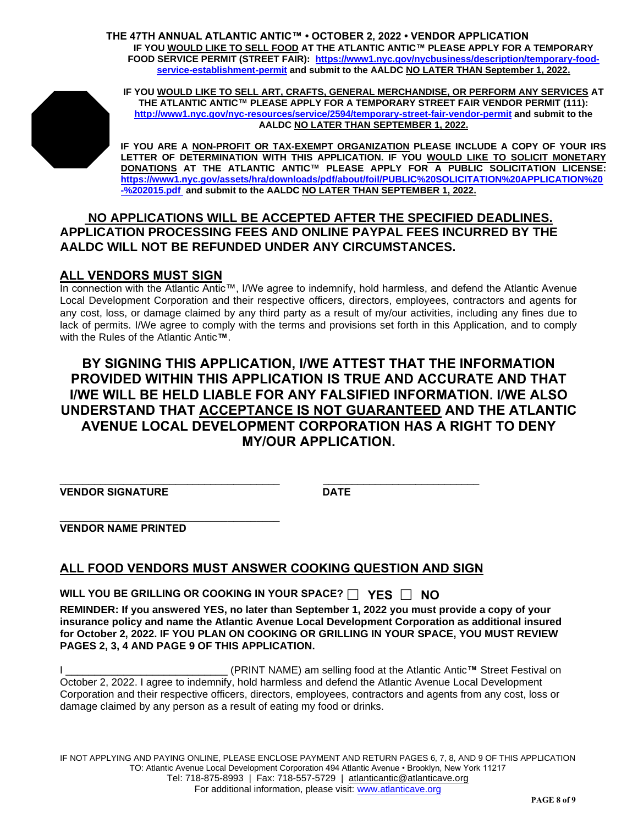**THE 47TH ANNUAL ATLANTIC ANTIC™ • OCTOBER 2, 2022 • VENDOR APPLICATION IF YOU WOULD LIKE TO SELL FOOD AT THE ATLANTIC ANTIC™ PLEASE APPLY FOR A TEMPORARY FOOD SERVICE PERMIT (STREET FAIR): https://www1.nyc.gov/nycbusiness/description/temporary-foodservice-establishment-permit and submit to the AALDC NO LATER THAN September 1, 2022.**



**IF YOU WOULD LIKE TO SELL ART, CRAFTS, GENERAL MERCHANDISE, OR PERFORM ANY SERVICES AT THE ATLANTIC ANTIC™ PLEASE APPLY FOR A TEMPORARY STREET FAIR VENDOR PERMIT (111): http://www1.nyc.gov/nyc-resources/service/2594/temporary-street-fair-vendor-permit and submit to the AALDC NO LATER THAN SEPTEMBER 1, 2022.**

**IF YOU ARE A NON-PROFIT OR TAX-EXEMPT ORGANIZATION PLEASE INCLUDE A COPY OF YOUR IRS LETTER OF DETERMINATION WITH THIS APPLICATION. IF YOU WOULD LIKE TO SOLICIT MONETARY DONATIONS AT THE ATLANTIC ANTIC™ PLEASE APPLY FOR A PUBLIC SOLICITATION LICENSE: https://www1.nyc.gov/assets/hra/downloads/pdf/about/foil/PUBLIC%20SOLICITATION%20APPLICATION%20 -%202015.pdf and submit to the AALDC NO LATER THAN SEPTEMBER 1, 2022.**

# **NO APPLICATIONS WILL BE ACCEPTED AFTER THE SPECIFIED DEADLINES. APPLICATION PROCESSING FEES AND ONLINE PAYPAL FEES INCURRED BY THE AALDC WILL NOT BE REFUNDED UNDER ANY CIRCUMSTANCES.**

# **ALL VENDORS MUST SIGN**

In connection with the Atlantic Antic™, I/We agree to indemnify, hold harmless, and defend the Atlantic Avenue Local Development Corporation and their respective officers, directors, employees, contractors and agents for any cost, loss, or damage claimed by any third party as a result of my/our activities, including any fines due to lack of permits. I/We agree to comply with the terms and provisions set forth in this Application, and to comply with the Rules of the Atlantic Antic**™**.

# **BY SIGNING THIS APPLICATION, I/WE ATTEST THAT THE INFORMATION PROVIDED WITHIN THIS APPLICATION IS TRUE AND ACCURATE AND THAT I/WE WILL BE HELD LIABLE FOR ANY FALSIFIED INFORMATION. I/WE ALSO UNDERSTAND THAT ACCEPTANCE IS NOT GUARANTEED AND THE ATLANTIC AVENUE LOCAL DEVELOPMENT CORPORATION HAS A RIGHT TO DENY MY/OUR APPLICATION.**

\_\_\_\_\_\_\_\_\_\_\_\_\_\_\_\_\_\_\_\_\_\_\_\_\_\_\_\_\_\_\_\_\_\_\_\_\_\_ \_\_\_\_\_\_\_\_\_\_\_\_\_\_\_\_\_\_\_\_\_\_\_\_\_\_\_ **VENDOR SIGNATURE DATE**

**\_\_\_\_\_\_\_\_\_\_\_\_\_\_\_\_\_\_\_\_\_\_\_\_\_\_\_\_\_\_\_\_\_\_\_\_\_\_ VENDOR NAME PRINTED**

# **ALL FOOD VENDORS MUST ANSWER COOKING QUESTION AND SIGN**

**WILL YOU BE GRILLING OR COOKING IN YOUR SPACE? YES NO**

**REMINDER: If you answered YES, no later than September 1, 2022 you must provide a copy of your insurance policy and name the Atlantic Avenue Local Development Corporation as additional insured for October 2, 2022. IF YOU PLAN ON COOKING OR GRILLING IN YOUR SPACE, YOU MUST REVIEW PAGES 2, 3, 4 AND PAGE 9 OF THIS APPLICATION.**

I \_\_\_\_\_\_\_\_\_\_\_\_\_\_\_\_\_\_\_\_\_\_\_\_\_\_\_\_ (PRINT NAME) am selling food at the Atlantic Antic**™** Street Festival on October 2, 2022. I agree to indemnify, hold harmless and defend the Atlantic Avenue Local Development Corporation and their respective officers, directors, employees, contractors and agents from any cost, loss or damage claimed by any person as a result of eating my food or drinks.

IF NOT APPLYING AND PAYING ONLINE, PLEASE ENCLOSE PAYMENT AND RETURN PAGES 6, 7, 8, AND 9 OF THIS APPLICATION TO: Atlantic Avenue Local Development Corporation 494 Atlantic Avenue • Brooklyn, New York 11217 Tel: 718-875-8993 | Fax: 718-557-5729 | atlanticantic@atlanticave.org For additional information, please visit: www.atlanticave.org